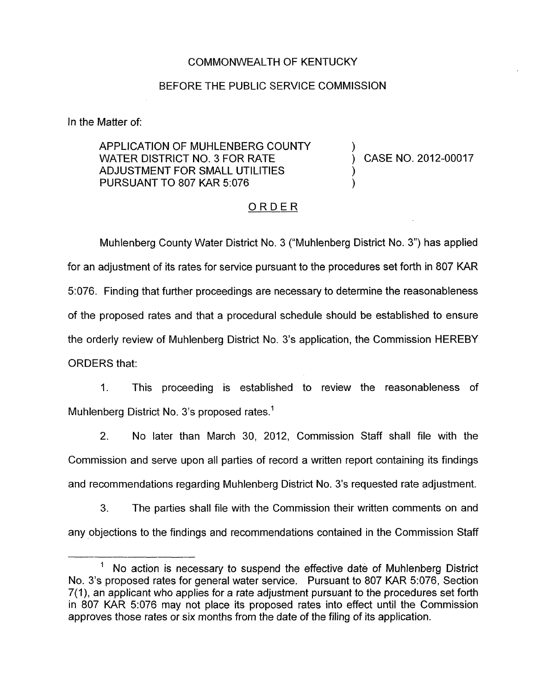## COMMONWEALTH OF KENTUCKY

## BEFORE THE PUBLIC SERVICE COMMISSION

In the Matter of:

APPLICATION OF MUHLENBERG COUNTY  $\overrightarrow{V}$  (ASE NO. 2012-00017 ADJUSTMENT FOR SMALL UTILITIES<br>PURSUANT TO 807 KAR 5:076

## ORDER

Muhlenberg County Water District No. 3 ("Muhlenberg District No. **3")** has applied for an adjustment of its rates for service pursuant to the procedures set forth in 807 KAR 3076. Finding that further proceedings are necessary to determine the reasonableness of the proposed rates and that a procedural schedule should be established to ensure the orderly review of Muhlenberg District No. 3's application, the Commission HEREBY ORDERS that:

1. This proceeding is established to review the reasonableness of Muhlenberg District No. 3's proposed rates.<sup>1</sup>

2. No later than March 30, 2012, Commission Staff shall file with the Commission and serve upon all parties of record a written report containing its findings and recommendations regarding Muhlenberg District No. 3's requested rate adjustment.

**3.** The parties shall file with the Commission their written comments on and any objections to the findings and recommendations contained in the Commission Staff

<sup>.- &#</sup>x27; No action *is* necessary to suspend the effective date of Muhlenberg District No. 3's proposed rates for general water service. Pursuant to 807 KAR 5:076, Section 7(1), an applicant who applies for a rate adjustment pursuant to the procedures set forth in 807 KAR 5:076 may not place its proposed rates into effect until the Commission approves those rates or six months from the date of the filing of its application.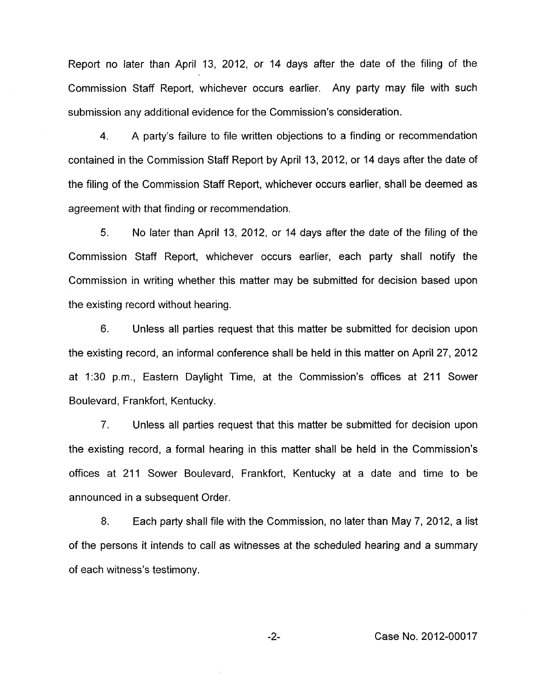Report no later than April 13, 2012, or 14 days after the date of the filing of the Commission Staff Report, whichever occurs earlier. Any party may file with such submission any additional evidence for the Commission's consideration.

**4.** A party's failure to file written objections to a finding or recommendation contained in the Commission Staff Report by April 13, 2012, or 14 days after the date of the filing of the Commission Staff Report, whichever occurs earlier, shall be deemed as agreement with that finding or recommendation.

5. No later than April 13, 2012, or 14 days after the date of the filing of the Commission Staff Report, whichever occurs earlier, each party shall notify the Commission in writing whether this matter may be submitted for decision based upon the existing record without hearing.

6. Unless all parties request that this matter be submitted for decision upon the existing record, an informal conference shall be held in this matter on April 27, 2012 at 1.30 pm., Eastern Daylight Time, at the Commission's offices at 211 Sower Boulevard, Frankfort, Kentucky.

7. Unless all parties request that this matter be submitted for decision upon the existing record, a formal hearing in this matter shall be held in the Commission's offices at 211 Sower Boulevard, Frankfort, Kentucky at a date and time to be announced in a subsequent Order

8. Each party shall file with the Commission, no later than May 7, 2012, a list of the persons it intends to call as witnesses at the scheduled hearing and a summary of each witness's testimony.

-2- Case No. 2012-00017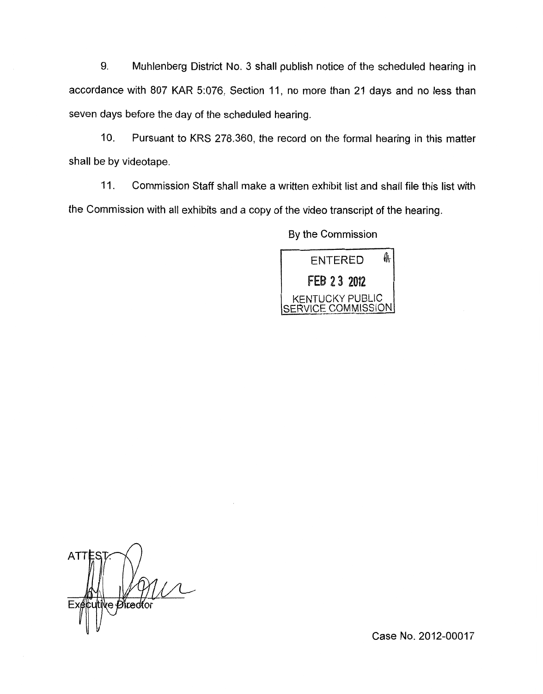9. Muhlenberg District No. 3 shall publish notice of the scheduled hearing in accordance with 807 KAR 5:076, Section 11, no more than 21 days and no less than seven days before the day of the scheduled hearing.

IO. Pursuant to KRS 278,360, the record on the formal hearing in this matter shall be by videotape.

11. Commission Staff shall make a written exhibit list and shall file this list with the Commission with all exhibits and a copy of the video transcript of the hearing

By the Commission



**ATT**  $\chi$ e Øvedfor

Case No. 2012-00017